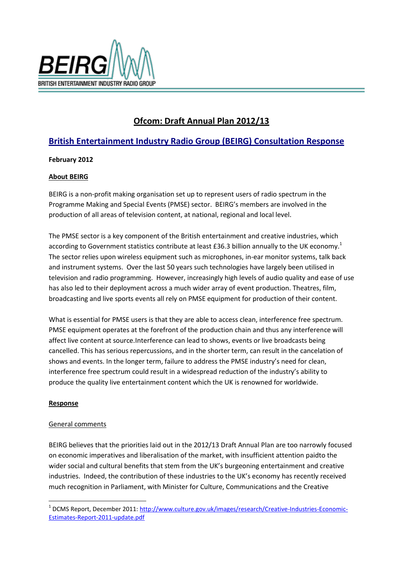

# **Ofcom: Draft Annual Plan 2012/13**

## **British Entertainment Industry Radio Group (BEIRG) Consultation Response**

## **February 2012**

#### **About BEIRG**

BEIRG is a non-profit making organisation set up to represent users of radio spectrum in the Programme Making and Special Events (PMSE) sector. BEIRG's members are involved in the production of all areas of television content, at national, regional and local level.

The PMSE sector is a key component of the British entertainment and creative industries, which according to Government statistics contribute at least £36.3 billion annually to the UK economy.<sup>1</sup> The sector relies upon wireless equipment such as microphones, in-ear monitor systems, talk back and instrument systems. Over the last 50 years such technologies have largely been utilised in television and radio programming. However, increasingly high levels of audio quality and ease of use has also led to their deployment across a much wider array of event production. Theatres, film, broadcasting and live sports events all rely on PMSE equipment for production of their content.

What is essential for PMSE users is that they are able to access clean, interference free spectrum. PMSE equipment operates at the forefront of the production chain and thus any interference will affect live content at source.Interference can lead to shows, events or live broadcasts being cancelled. This has serious repercussions, and in the shorter term, can result in the cancelation of shows and events. In the longer term, failure to address the PMSE industry's need for clean, interference free spectrum could result in a widespread reduction of the industry's ability to produce the quality live entertainment content which the UK is renowned for worldwide.

#### **Response**

1

#### General comments

BEIRG believes that the priorities laid out in the 2012/13 Draft Annual Plan are too narrowly focused on economic imperatives and liberalisation of the market, with insufficient attention paidto the wider social and cultural benefits that stem from the UK's burgeoning entertainment and creative industries. Indeed, the contribution of these industries to the UK's economy has recently received much recognition in Parliament, with Minister for Culture, Communications and the Creative

<sup>&</sup>lt;sup>1</sup> DCMS Report, December 2011[: http://www.culture.gov.uk/images/research/Creative-Industries-Economic-](http://www.culture.gov.uk/images/research/Creative-Industries-Economic-Estimates-Report-2011-update.pdf)[Estimates-Report-2011-update.pdf](http://www.culture.gov.uk/images/research/Creative-Industries-Economic-Estimates-Report-2011-update.pdf)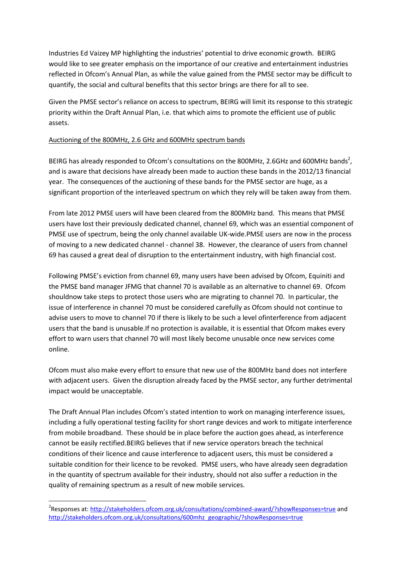Industries Ed Vaizey MP highlighting the industries' potential to drive economic growth. BEIRG would like to see greater emphasis on the importance of our creative and entertainment industries reflected in Ofcom's Annual Plan, as while the value gained from the PMSE sector may be difficult to quantify, the social and cultural benefits that this sector brings are there for all to see.

Given the PMSE sector's reliance on access to spectrum, BEIRG will limit its response to this strategic priority within the Draft Annual Plan, i.e. that which aims to promote the efficient use of public assets.

#### Auctioning of the 800MHz, 2.6 GHz and 600MHz spectrum bands

BEIRG has already responded to Ofcom's consultations on the 800MHz, 2.6GHz and 600MHz bands<sup>2</sup>, and is aware that decisions have already been made to auction these bands in the 2012/13 financial year. The consequences of the auctioning of these bands for the PMSE sector are huge, as a significant proportion of the interleaved spectrum on which they rely will be taken away from them.

From late 2012 PMSE users will have been cleared from the 800MHz band. This means that PMSE users have lost their previously dedicated channel, channel 69, which was an essential component of PMSE use of spectrum, being the only channel available UK-wide.PMSE users are now in the process of moving to a new dedicated channel - channel 38. However, the clearance of users from channel 69 has caused a great deal of disruption to the entertainment industry, with high financial cost.

Following PMSE's eviction from channel 69, many users have been advised by Ofcom, Equiniti and the PMSE band manager JFMG that channel 70 is available as an alternative to channel 69. Ofcom shouldnow take steps to protect those users who are migrating to channel 70. In particular, the issue of interference in channel 70 must be considered carefully as Ofcom should not continue to advise users to move to channel 70 if there is likely to be such a level ofinterference from adjacent users that the band is unusable.If no protection is available, it is essential that Ofcom makes every effort to warn users that channel 70 will most likely become unusable once new services come online.

Ofcom must also make every effort to ensure that new use of the 800MHz band does not interfere with adjacent users. Given the disruption already faced by the PMSE sector, any further detrimental impact would be unacceptable.

The Draft Annual Plan includes Ofcom's stated intention to work on managing interference issues, including a fully operational testing facility for short range devices and work to mitigate interference from mobile broadband. These should be in place before the auction goes ahead, as interference cannot be easily rectified.BEIRG believes that if new service operators breach the technical conditions of their licence and cause interference to adjacent users, this must be considered a suitable condition for their licence to be revoked. PMSE users, who have already seen degradation in the quantity of spectrum available for their industry, should not also suffer a reduction in the quality of remaining spectrum as a result of new mobile services.

1

<sup>&</sup>lt;sup>2</sup>Responses at: <u>http://stakeholders.ofcom.org.uk/consultations/combined-award/?showResponses=true</u> and [http://stakeholders.ofcom.org.uk/consultations/600mhz\\_geographic/?showResponses=true](http://stakeholders.ofcom.org.uk/consultations/600mhz_geographic/?showResponses=true)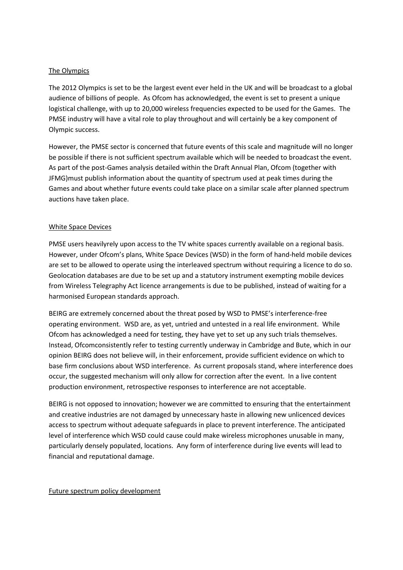#### The Olympics

The 2012 Olympics is set to be the largest event ever held in the UK and will be broadcast to a global audience of billions of people. As Ofcom has acknowledged, the event is set to present a unique logistical challenge, with up to 20,000 wireless frequencies expected to be used for the Games. The PMSE industry will have a vital role to play throughout and will certainly be a key component of Olympic success.

However, the PMSE sector is concerned that future events of this scale and magnitude will no longer be possible if there is not sufficient spectrum available which will be needed to broadcast the event. As part of the post-Games analysis detailed within the Draft Annual Plan, Ofcom (together with JFMG)must publish information about the quantity of spectrum used at peak times during the Games and about whether future events could take place on a similar scale after planned spectrum auctions have taken place.

#### White Space Devices

PMSE users heavilyrely upon access to the TV white spaces currently available on a regional basis. However, under Ofcom's plans, White Space Devices (WSD) in the form of hand-held mobile devices are set to be allowed to operate using the interleaved spectrum without requiring a licence to do so. Geolocation databases are due to be set up and a statutory instrument exempting mobile devices from Wireless Telegraphy Act licence arrangements is due to be published, instead of waiting for a harmonised European standards approach.

BEIRG are extremely concerned about the threat posed by WSD to PMSE's interference-free operating environment. WSD are, as yet, untried and untested in a real life environment. While Ofcom has acknowledged a need for testing, they have yet to set up any such trials themselves. Instead, Ofcomconsistently refer to testing currently underway in Cambridge and Bute, which in our opinion BEIRG does not believe will, in their enforcement, provide sufficient evidence on which to base firm conclusions about WSD interference. As current proposals stand, where interference does occur, the suggested mechanism will only allow for correction after the event. In a live content production environment, retrospective responses to interference are not acceptable.

BEIRG is not opposed to innovation; however we are committed to ensuring that the entertainment and creative industries are not damaged by unnecessary haste in allowing new unlicenced devices access to spectrum without adequate safeguards in place to prevent interference. The anticipated level of interference which WSD could cause could make wireless microphones unusable in many, particularly densely populated, locations. Any form of interference during live events will lead to financial and reputational damage.

#### Future spectrum policy development